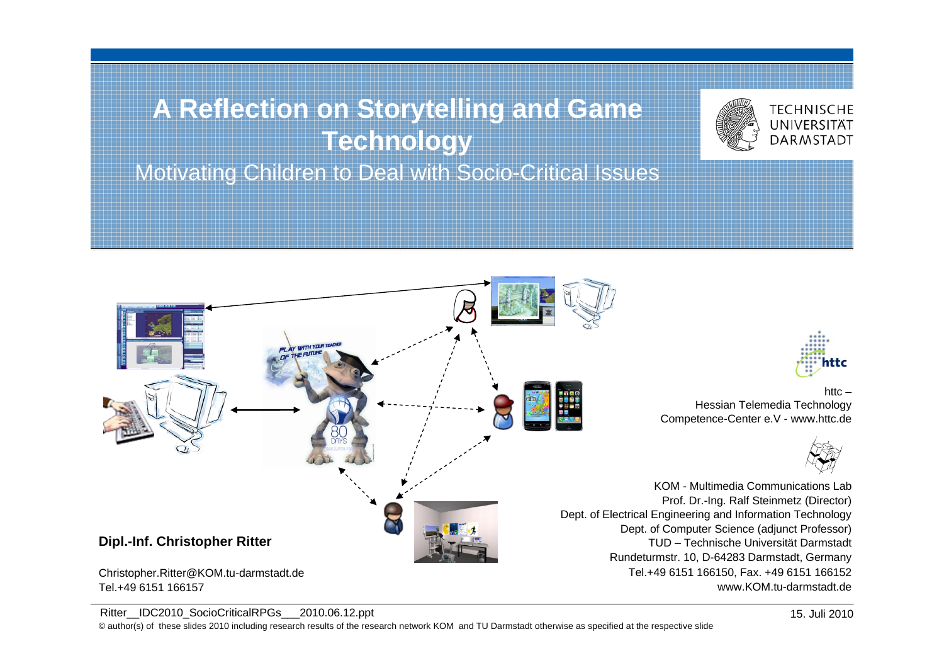# **A Reflection on Storytelling and Game Technology**

Motivating Children to Deal with Socio-Critical Issues



Ritter\_IDC2010\_SocioCriticalRPGs\_\_2010.06.12.ppt

Tel.+49 6151 166157

© author(s) of these slides 2010 including research results of the research network KOM and TU Darmstadt otherwise as specified at the respective slide



**TECHNISCHE** UNIVERSITÄT **DARMSTADT** 

 $h$ ttc – Hessian Telemedia Technology Competence-Center e.V - www.httc.de



KOM - Multimedia Communications LabProf. Dr.-Ing. Ralf Steinmetz (Director) Dept. of Electrical Engineering and Information Technology Dept. of Computer Science (adjunct Professor) TUD – Technische Universität Darmstadt Rundeturmstr. 10, D-64283 Darmstadt, Germany Tel.+49 6151 166150, Fax. +49 6151 166152 www.KOM.tu-darmstadt.de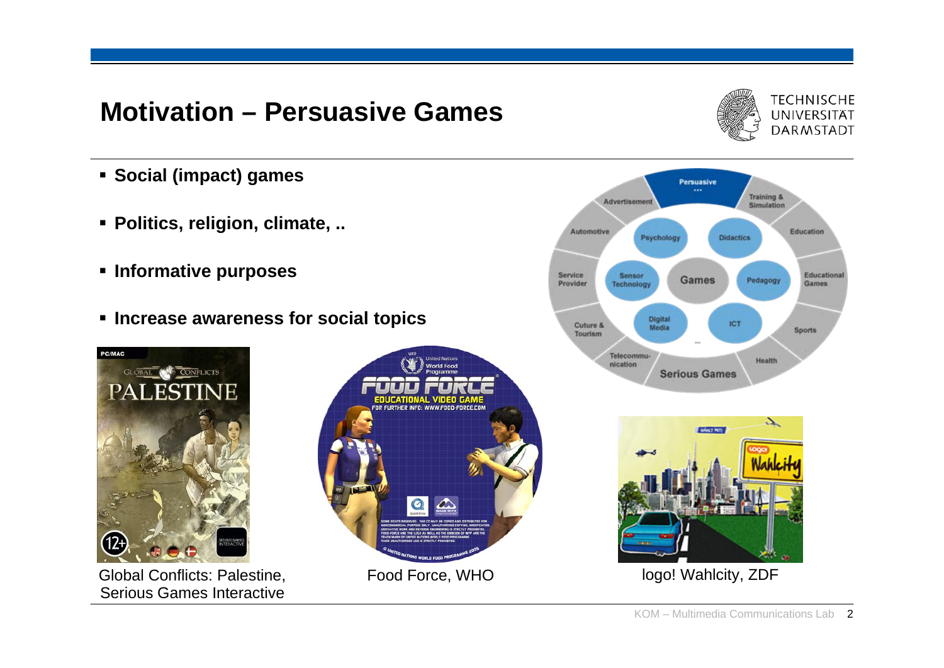### **Motivation – Persuasive Games**



- **Social (impact) games**
- **Politics, religion, climate, ..**
- **Informative purposes**
- **Increase awareness for social topics**



Global Conflicts: Palestine, Food Force, WHO logo! Wahlcity, ZDF Serious Games Interactive





![](_page_1_Picture_10.jpeg)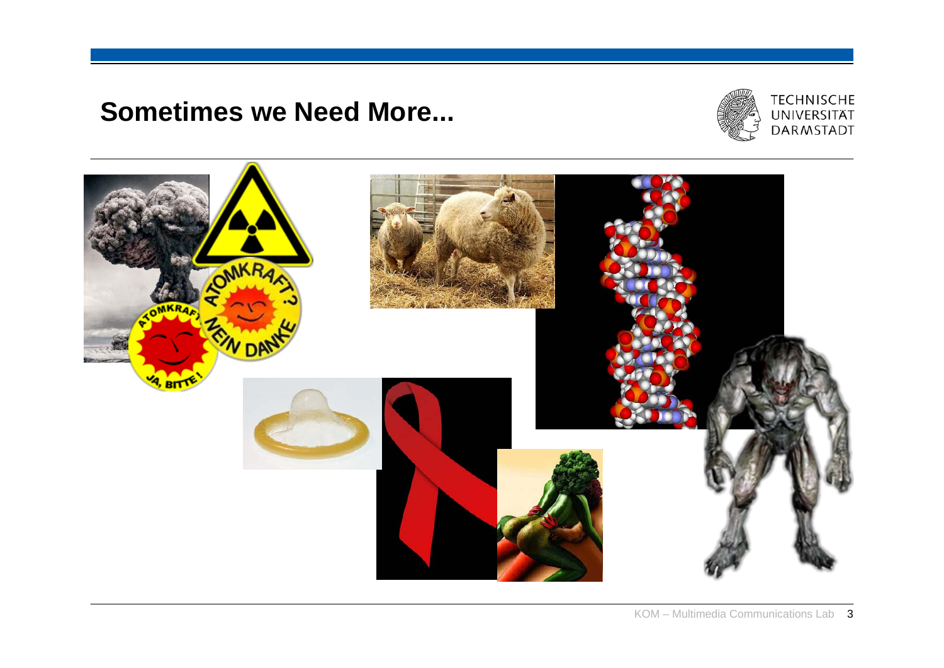### **Sometimes we Need More...**

![](_page_2_Picture_1.jpeg)

![](_page_2_Picture_2.jpeg)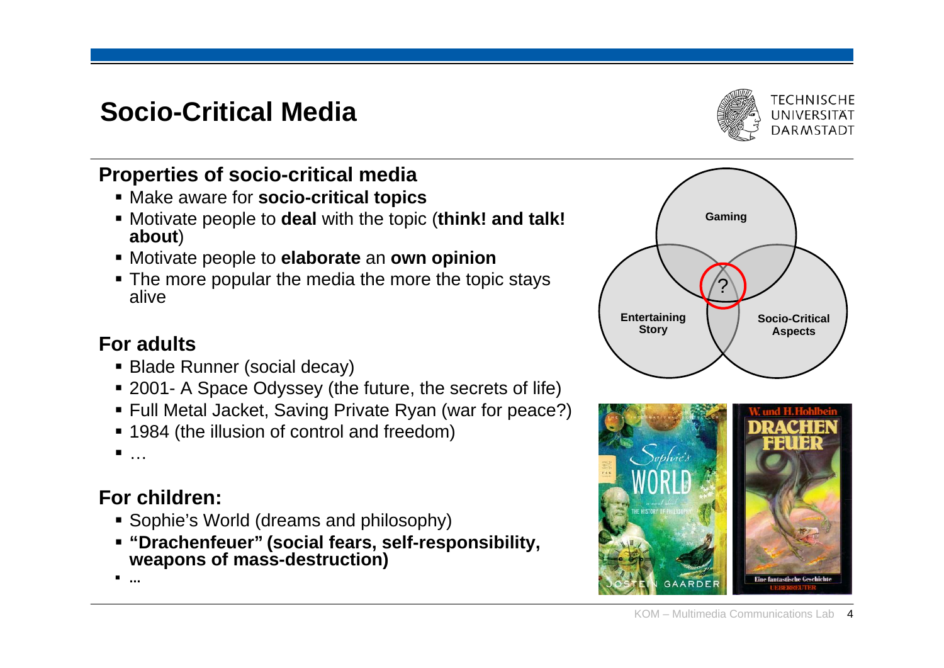## **Socio-Critical Media**

#### **Properties of socio-critical media**

- Make aware for **socio-critical topics**
- Motivate people to **deal** with the topic (**think! and talk! about**)
- Motivate people to **elaborate** an **own opinion**
- **The more popular the media the more the topic stays** alive

#### **For adults**

- Blade Runner (social decay)
- 2001- A Space Odyssey (the future, the secrets of life)
- Full Metal Jacket, Saving Private Ryan (war for peace?)
- 1984 (the illusion of control and freedom)

…

### **For children:**

- **Sophie's World (dreams and philosophy)**
- **"Drachenfeuer" (social fears, self-responsibility, weapons of mass-destruction)**

**...**

![](_page_3_Figure_16.jpeg)

![](_page_3_Picture_17.jpeg)

![](_page_3_Picture_18.jpeg)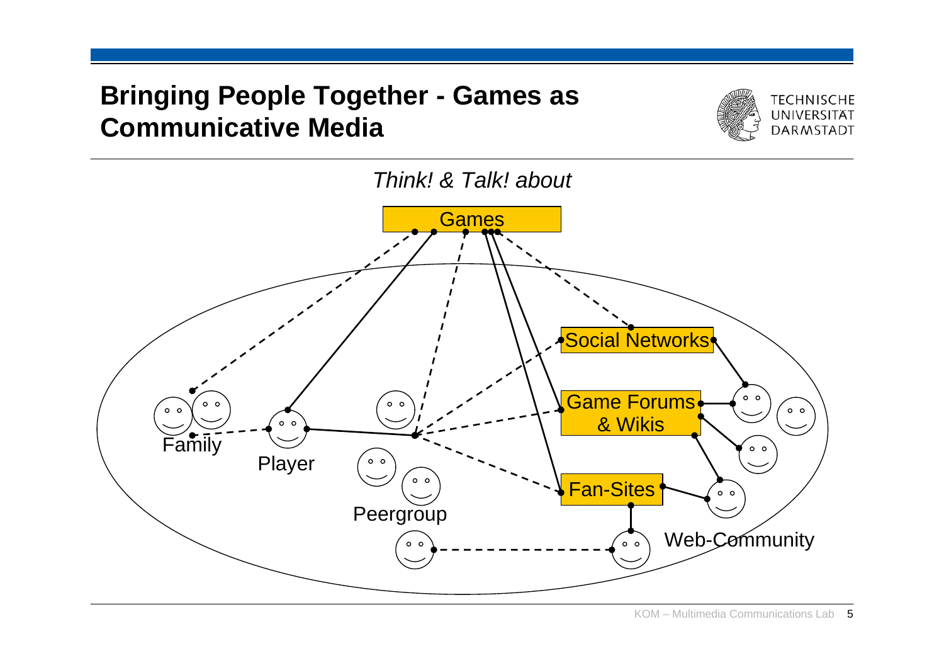## **Bringing People Together - Games as Communicative Media**

![](_page_4_Picture_1.jpeg)

![](_page_4_Figure_2.jpeg)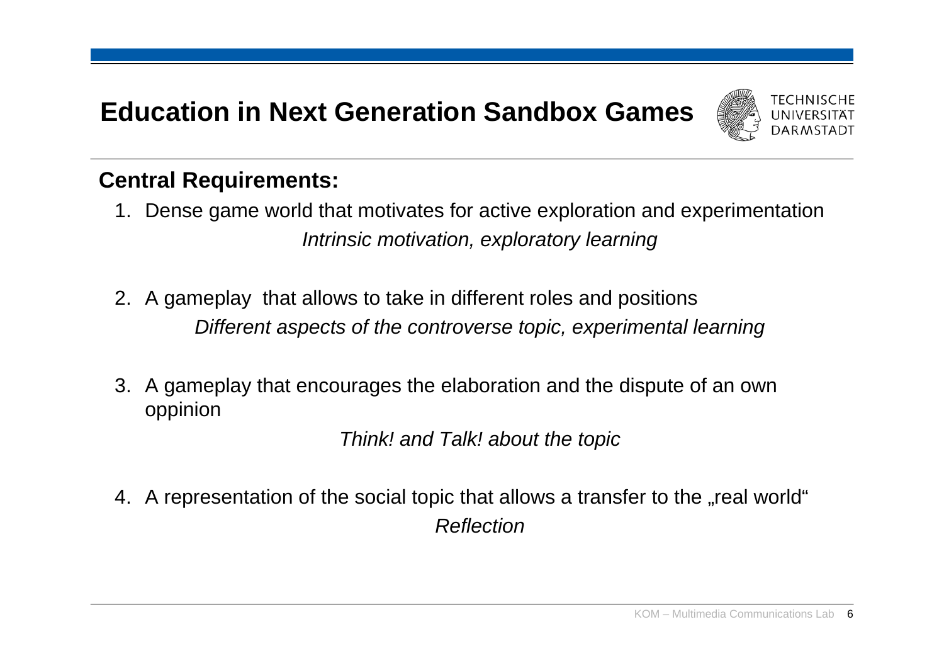## **Education in Next Generation Sandbox Games**

![](_page_5_Picture_1.jpeg)

#### **Central Requirements:**

- 1. Dense game world that motivates for active exploration and experimentation *Intrinsic motivation, exploratory learning*
- 2. A gameplay that allows to take in different roles and positions *Different aspects of the controverse topic, experimental learning*
- 3. A gameplay that encourages the elaboration and the dispute of an own oppinion

*Think! and Talk! about the topic*

4. A representation of the social topic that allows a transfer to the "real world" *Reflection*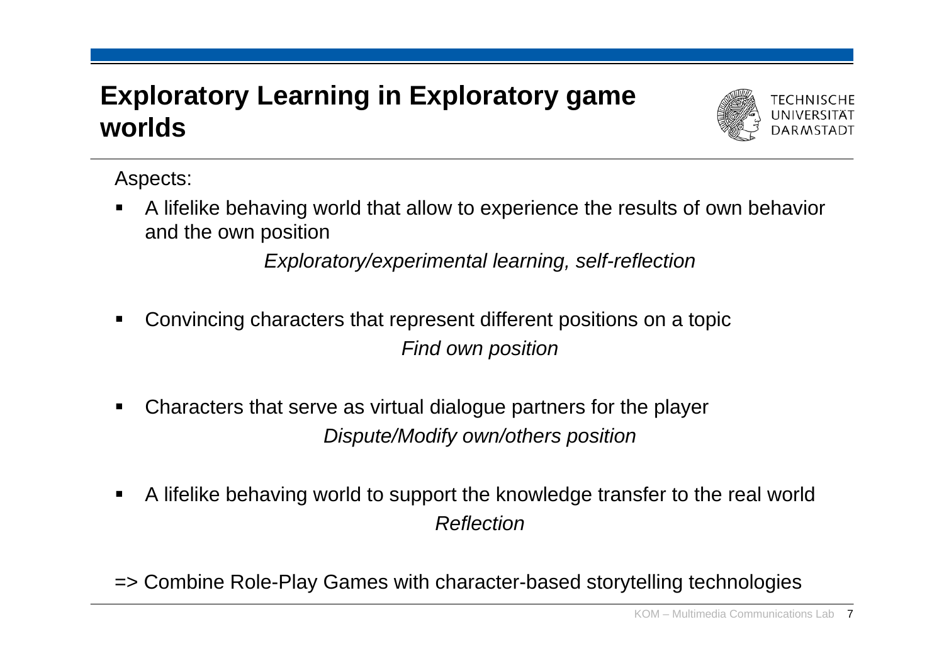## **Exploratory Learning in Exploratory game worlds**

![](_page_6_Picture_1.jpeg)

Aspects:

 $\blacksquare$  A lifelike behaving world that allow to experience the results of own behavior and the own position

*Exploratory/experimental learning, self-reflection*

- $\blacksquare$  Convincing characters that represent different positions on a topic *Find own position*
- $\blacksquare$  Characters that serve as virtual dialogue partners for the player *Dispute/Modify own/others position*
- $\blacksquare$  A lifelike behaving world to support the knowledge transfer to the real world *Reflection*

=> Combine Role-Play Games with character-based storytelling technologies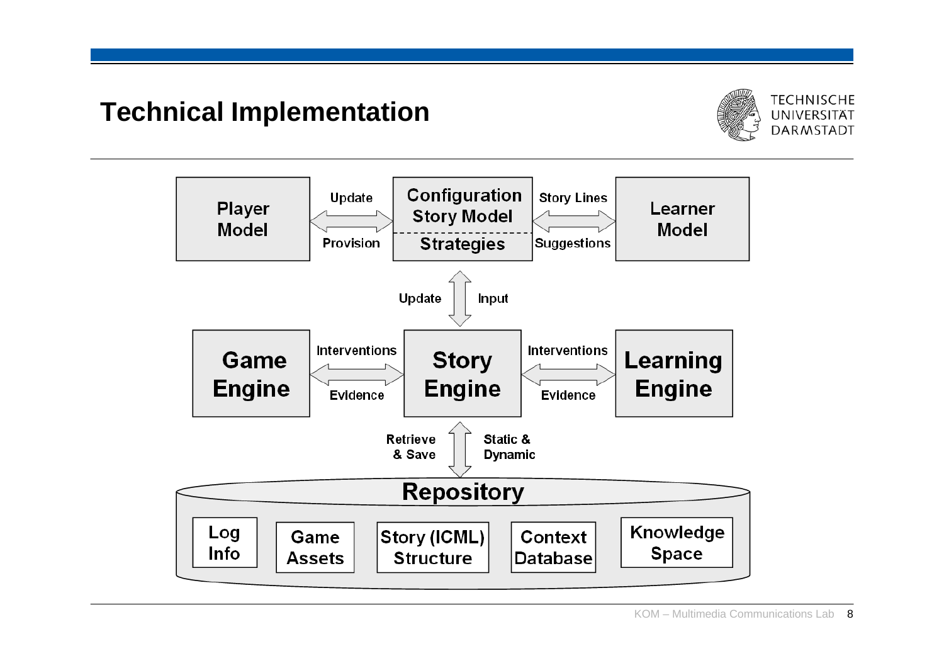## **Technical Implementation**

![](_page_7_Picture_1.jpeg)

![](_page_7_Figure_2.jpeg)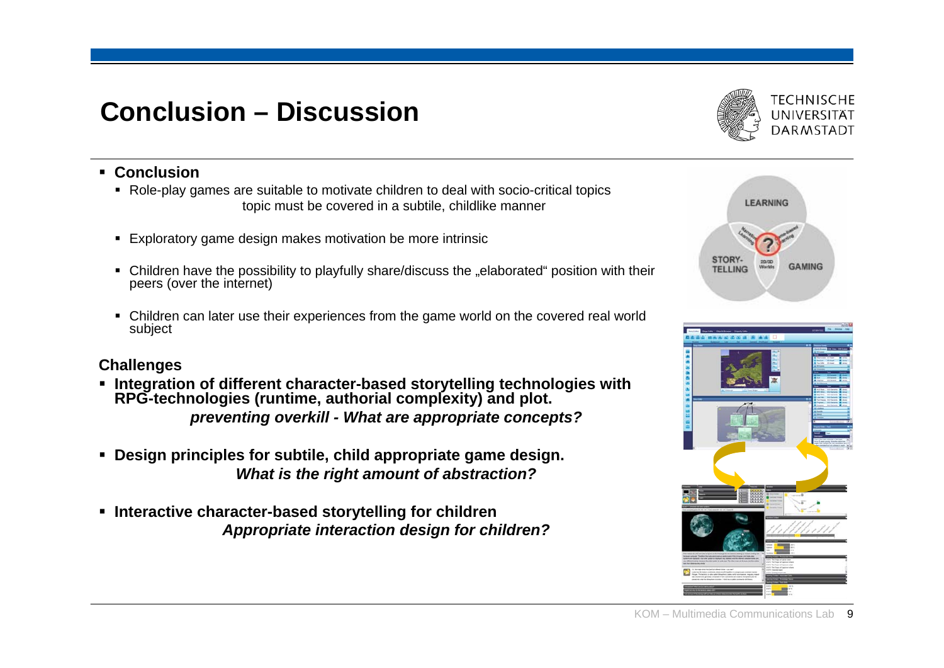## **Conclusion – Discussion**

![](_page_8_Picture_1.jpeg)

#### **Conclusion**

- Role-play games are suitable to motivate children to deal with socio-critical topics topic must be covered in a subtile, childlike manner
- $\blacksquare$ Exploratory game design makes motivation be more intrinsic
- $\blacksquare$ Children have the possibility to playfully share/discuss the "elaborated" position with their peers (over the internet)
- $\blacksquare$  Children can later use their experiences from the game world on the covered real world subject

#### **Challenges**

- **Integration of different character-based storytelling technologies with RPG-technologies (runtime, authorial complexity) and plot.**  *preventing overkill - What are appropriate concepts?*
- **Design principles for subtile, child appropriate game design.**  *What is the right amount of abstraction?*
- **Interactive character-based storytelling for children** *Appropriate interaction design for children?*

![](_page_8_Picture_11.jpeg)

![](_page_8_Figure_12.jpeg)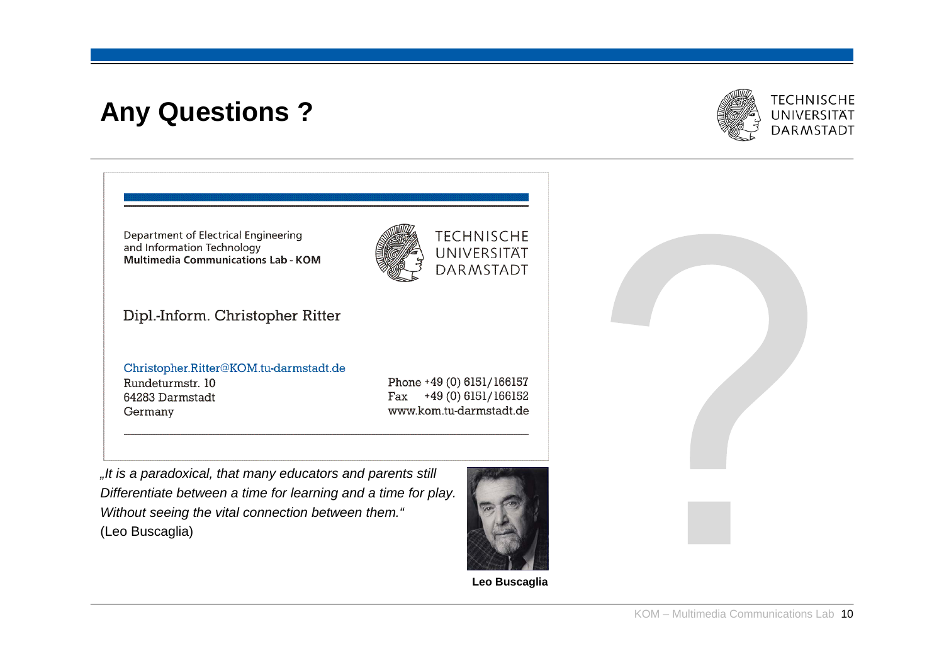## **Any Questions ?**

![](_page_9_Picture_1.jpeg)

Department of Electrical Engineering **TECHNISCHE** and Information Technology UNIVERSITÄT **Multimedia Communications Lab - KOM DARMSTADT** Dipl.-Inform. Christopher Ritter Christopher.Ritter@KOM.tu-darmstadt.de

Rundeturmstr. 10 64283 Darmstadt Germany

Phone +49 (0) 6151/166157 +49 (0) 6151/166152 Fax www.kom.tu-darmstadt.de

*"It is a paradoxical, that many educators and parents still Differentiate between a time for learning and a time for play. Without seeing the vital connection between them."* (Leo Buscaglia)

![](_page_9_Picture_6.jpeg)

**Leo Buscaglia**

![](_page_9_Figure_8.jpeg)